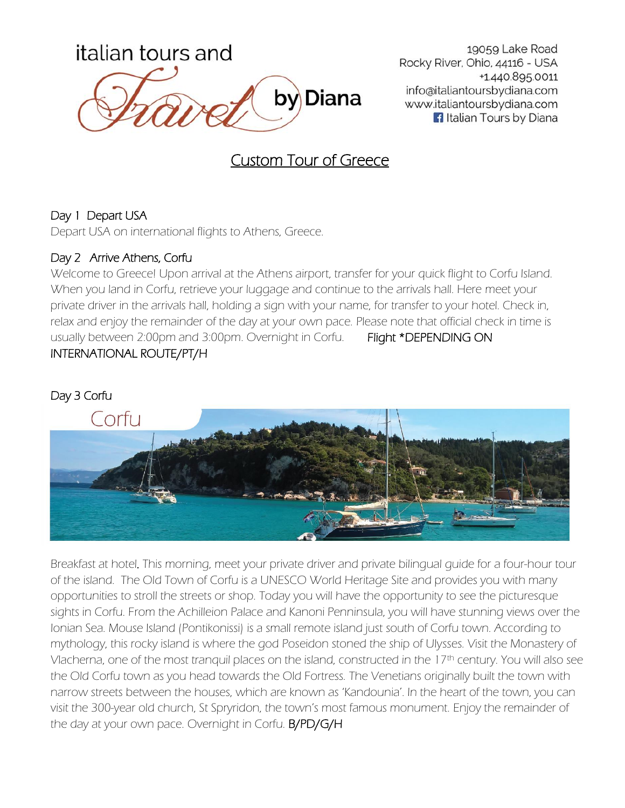

19059 Lake Road Rocky River, Ohio, 44116 - USA +1.440.895.0011 info@italiantoursbydiana.com www.italiantoursbydiana.com **1** Italian Tours by Diana

# Custom Tour of Greece

### Day 1 Depart USA

Depart USA on international flights to Athens, Greece.

### Day 2 Arrive Athens, Corfu

Welcome to Greece! Upon arrival at the Athens airport, transfer for your quick flight to Corfu Island. When you land in Corfu, retrieve your luggage and continue to the arrivals hall. Here meet your private driver in the arrivals hall, holding a sign with your name, for transfer to your hotel. Check in, relax and enjoy the remainder of the day at your own pace. Please note that official check in time is usually between 2:00pm and 3:00pm. Overnight in Corfu. Flight \*DEPENDING ON INTERNATIONAL ROUTE/PT/H



Breakfast at hotel. This morning, meet your private driver and private bilingual guide for a four-hour tour of the island. The Old Town of Corfu is a UNESCO World Heritage Site and provides you with many opportunities to stroll the streets or shop. Today you will have the opportunity to see the picturesque sights in Corfu. From the Achilleion Palace and Kanoni Penninsula, you will have stunning views over the Ionian Sea. Mouse Island (Pontikonissi) is a small remote island just south of Corfu town. According to mythology, this rocky island is where the god Poseidon stoned the ship of Ulysses. Visit the Monastery of Vlacherna, one of the most tranquil places on the island, constructed in the 17th century. You will also see the Old Corfu town as you head towards the Old Fortress. The Venetians originally built the town with narrow streets between the houses, which are known as 'Kandounia'. In the heart of the town, you can visit the 300-year old church, St Spryridon, the town's most famous monument. Enjoy the remainder of the day at your own pace. Overnight in Corfu. B/PD/G/H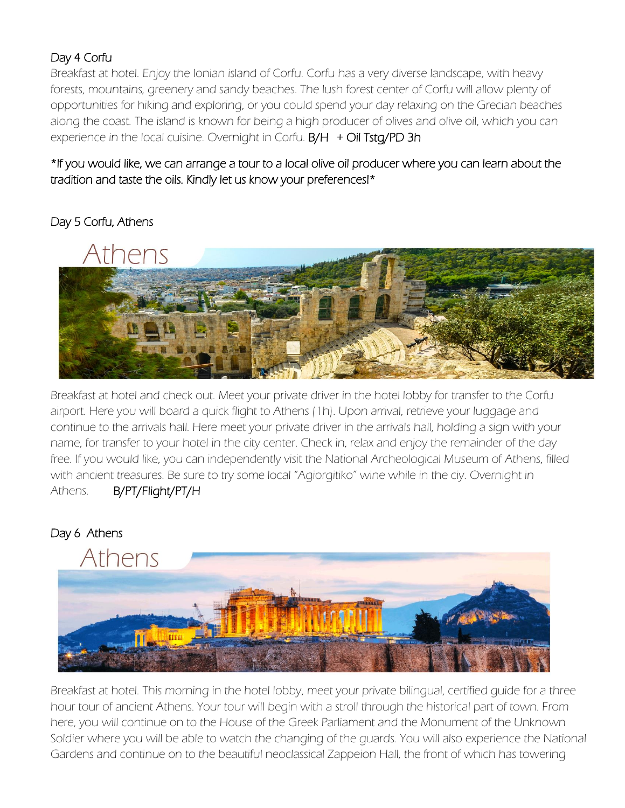# Day 4 Corfu

Breakfast at hotel. Enjoy the Ionian island of Corfu. Corfu has a very diverse landscape, with heavy forests, mountains, greenery and sandy beaches. The lush forest center of Corfu will allow plenty of opportunities for hiking and exploring, or you could spend your day relaxing on the Grecian beaches along the coast. The island is known for being a high producer of olives and olive oil, which you can experience in the local cuisine. Overnight in Corfu. B/H + Oil Tstg/PD 3h

\*If you would like, we can arrange a tour to a local olive oil producer where you can learn about the tradition and taste the oils. Kindly let us know your preferences!\*

# Day 5 Corfu, Athens



Breakfast at hotel and check out. Meet your private driver in the hotel lobby for transfer to the Corfu airport. Here you will board a quick flight to Athens (1h). Upon arrival, retrieve your luggage and continue to the arrivals hall. Here meet your private driver in the arrivals hall, holding a sign with your name, for transfer to your hotel in the city center. Check in, relax and enjoy the remainder of the day free. If you would like, you can independently visit the National Archeological Museum of Athens, filled with ancient treasures. Be sure to try some local "Agiorgitiko" wine while in the ciy. Overnight in Athens. B/PT/Flight/PT/H

### Day 6 Athens



Breakfast at hotel. This morning in the hotel lobby, meet your private bilingual, certified guide for a three hour tour of ancient Athens. Your tour will begin with a stroll through the historical part of town. From here, you will continue on to the House of the Greek Parliament and the Monument of the Unknown Soldier where you will be able to watch the changing of the guards. You will also experience the National Gardens and continue on to the beautiful neoclassical Zappeion Hall, the front of which has towering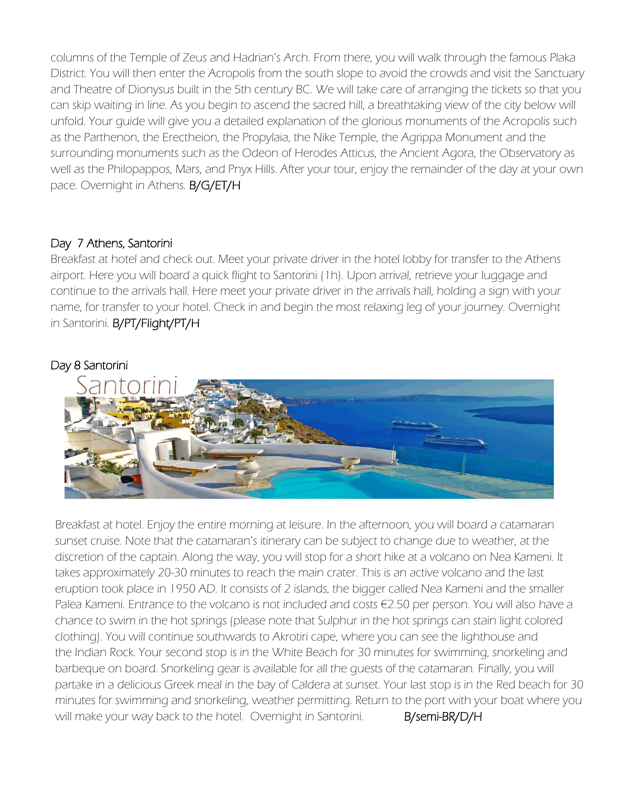columns of the Temple of Zeus and Hadrian's Arch. From there, you will walk through the famous Plaka District. You will then enter the Acropolis from the south slope to avoid the crowds and visit the Sanctuary and Theatre of Dionysus built in the 5th century BC. We will take care of arranging the tickets so that you can skip waiting in line. As you begin to ascend the sacred hill, a breathtaking view of the city below will unfold. Your guide will give you a detailed explanation of the glorious monuments of the Acropolis such as the Parthenon, the Erectheion, the Propylaia, the Nike Temple, the Agrippa Monument and the surrounding monuments such as the Odeon of Herodes Atticus, the Ancient Agora, the Observatory as well as the Philopappos, Mars, and Pnyx Hills. After your tour, enjoy the remainder of the day at your own pace. Overnight in Athens. B/G/ET/H

#### Day 7 Athens, Santorini

Breakfast at hotel and check out. Meet your private driver in the hotel lobby for transfer to the Athens airport. Here you will board a quick flight to Santorini (1h). Upon arrival, retrieve your luggage and continue to the arrivals hall. Here meet your private driver in the arrivals hall, holding a sign with your name, for transfer to your hotel. Check in and begin the most relaxing leg of your journey. Overnight in Santorini. B/PT/Flight/PT/H

#### Day 8 Santorini



Breakfast at hotel. Enjoy the entire morning at leisure. In the afternoon, you will board a catamaran sunset cruise. Note that the catamaran's itinerary can be subject to change due to weather, at the discretion of the captain. Along the way, you will stop for a short hike at a volcano on Nea Kameni. It takes approximately 20-30 minutes to reach the main crater. This is an active volcano and the last eruption took place in 1950 AD. It consists of 2 islands, the bigger called Nea Kameni and the smaller Palea Kameni. Entrance to the volcano is not included and costs €2.50 per person. You will also have a chance to swim in the hot springs (please note that Sulphur in the hot springs can stain light colored clothing). You will continue southwards to Akrotiri cape, where you can see the lighthouse and the Indian Rock. Your second stop is in the White Beach for 30 minutes for swimming, snorkeling and barbeque on board. Snorkeling gear is available for all the guests of the catamaran. Finally, you will partake in a delicious Greek meal in the bay of Caldera at sunset. Your last stop is in the Red beach for 30 minutes for swimming and snorkeling, weather permitting. Return to the port with your boat where you will make your way back to the hotel. Overnight in Santorini. **B/semi-BR/D/H**